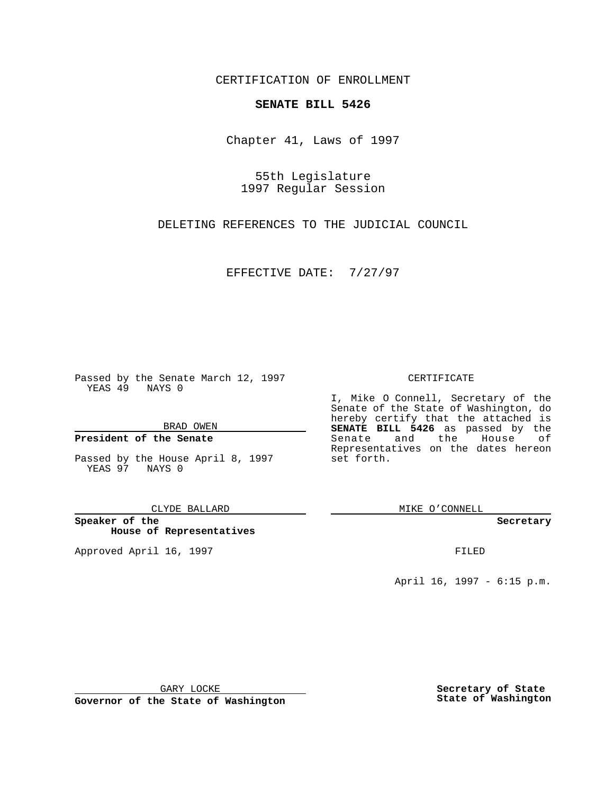CERTIFICATION OF ENROLLMENT

## **SENATE BILL 5426**

Chapter 41, Laws of 1997

55th Legislature 1997 Regular Session

DELETING REFERENCES TO THE JUDICIAL COUNCIL

EFFECTIVE DATE: 7/27/97

Passed by the Senate March 12, 1997 YEAS 49 NAYS 0

BRAD OWEN

## **President of the Senate**

Passed by the House April 8, 1997 YEAS 97 NAYS 0

CLYDE BALLARD

**Speaker of the House of Representatives**

Approved April 16, 1997 **FILED** 

## CERTIFICATE

I, Mike O Connell, Secretary of the Senate of the State of Washington, do hereby certify that the attached is **SENATE BILL 5426** as passed by the Senate and the House of Representatives on the dates hereon set forth.

MIKE O'CONNELL

**Secretary**

April 16, 1997 - 6:15 p.m.

GARY LOCKE

**Governor of the State of Washington**

**Secretary of State State of Washington**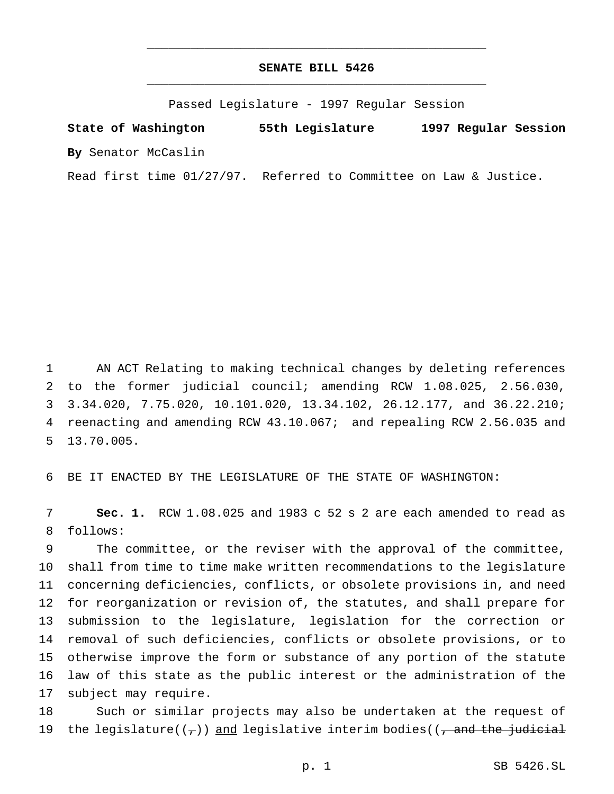## **SENATE BILL 5426** \_\_\_\_\_\_\_\_\_\_\_\_\_\_\_\_\_\_\_\_\_\_\_\_\_\_\_\_\_\_\_\_\_\_\_\_\_\_\_\_\_\_\_\_\_\_\_

\_\_\_\_\_\_\_\_\_\_\_\_\_\_\_\_\_\_\_\_\_\_\_\_\_\_\_\_\_\_\_\_\_\_\_\_\_\_\_\_\_\_\_\_\_\_\_

Passed Legislature - 1997 Regular Session

**State of Washington 55th Legislature 1997 Regular Session By** Senator McCaslin

Read first time 01/27/97. Referred to Committee on Law & Justice.

 AN ACT Relating to making technical changes by deleting references to the former judicial council; amending RCW 1.08.025, 2.56.030, 3.34.020, 7.75.020, 10.101.020, 13.34.102, 26.12.177, and 36.22.210; reenacting and amending RCW 43.10.067; and repealing RCW 2.56.035 and 13.70.005.

BE IT ENACTED BY THE LEGISLATURE OF THE STATE OF WASHINGTON:

 **Sec. 1.** RCW 1.08.025 and 1983 c 52 s 2 are each amended to read as follows:

 The committee, or the reviser with the approval of the committee, shall from time to time make written recommendations to the legislature concerning deficiencies, conflicts, or obsolete provisions in, and need for reorganization or revision of, the statutes, and shall prepare for submission to the legislature, legislation for the correction or removal of such deficiencies, conflicts or obsolete provisions, or to otherwise improve the form or substance of any portion of the statute law of this state as the public interest or the administration of the subject may require.

 Such or similar projects may also be undertaken at the request of 19 the legislature( $(\tau)$ ) and legislative interim bodies(( $\tau$  and the judicial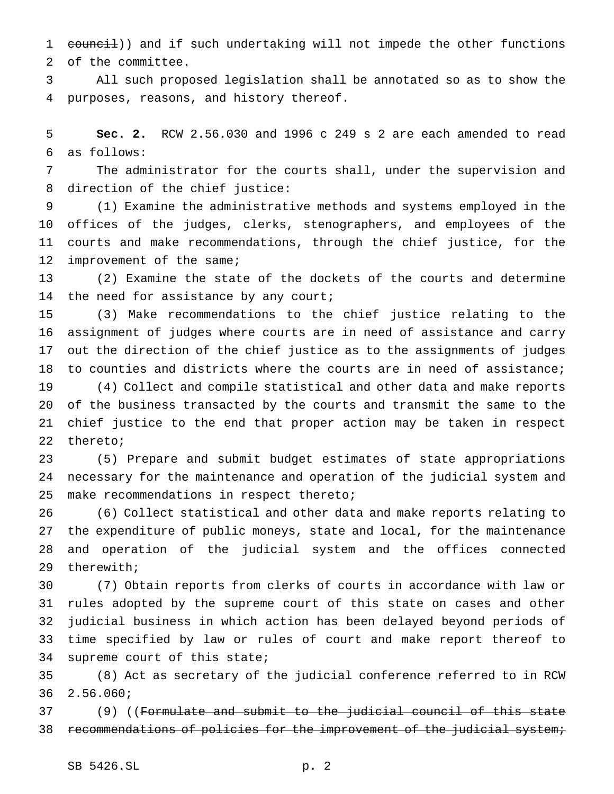1 council)) and if such undertaking will not impede the other functions of the committee.

 All such proposed legislation shall be annotated so as to show the purposes, reasons, and history thereof.

 **Sec. 2.** RCW 2.56.030 and 1996 c 249 s 2 are each amended to read as follows:

 The administrator for the courts shall, under the supervision and direction of the chief justice:

 (1) Examine the administrative methods and systems employed in the offices of the judges, clerks, stenographers, and employees of the courts and make recommendations, through the chief justice, for the 12 improvement of the same;

 (2) Examine the state of the dockets of the courts and determine 14 the need for assistance by any court;

 (3) Make recommendations to the chief justice relating to the assignment of judges where courts are in need of assistance and carry out the direction of the chief justice as to the assignments of judges to counties and districts where the courts are in need of assistance;

 (4) Collect and compile statistical and other data and make reports of the business transacted by the courts and transmit the same to the chief justice to the end that proper action may be taken in respect thereto;

 (5) Prepare and submit budget estimates of state appropriations necessary for the maintenance and operation of the judicial system and make recommendations in respect thereto;

 (6) Collect statistical and other data and make reports relating to the expenditure of public moneys, state and local, for the maintenance and operation of the judicial system and the offices connected therewith;

 (7) Obtain reports from clerks of courts in accordance with law or rules adopted by the supreme court of this state on cases and other judicial business in which action has been delayed beyond periods of time specified by law or rules of court and make report thereof to supreme court of this state;

 (8) Act as secretary of the judicial conference referred to in RCW 2.56.060;

 (9) ((Formulate and submit to the judicial council of this state 38 recommendations of policies for the improvement of the judicial system;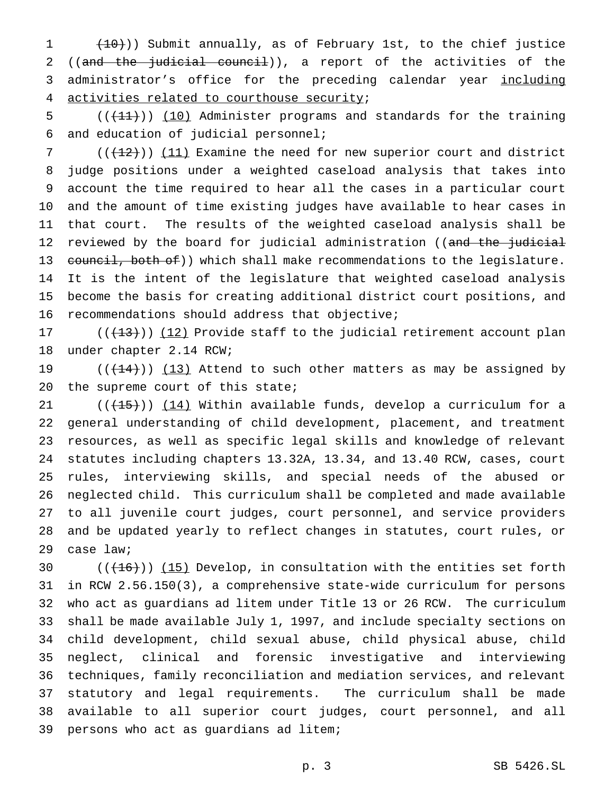1 (10))) Submit annually, as of February 1st, to the chief justice 2 ((and the judicial council)), a report of the activities of the 3 administrator's office for the preceding calendar year including activities related to courthouse security;

5  $((+11))$   $(10)$  Administer programs and standards for the training and education of judicial personnel;

 (( $(12)$ )) (11) Examine the need for new superior court and district judge positions under a weighted caseload analysis that takes into account the time required to hear all the cases in a particular court and the amount of time existing judges have available to hear cases in that court. The results of the weighted caseload analysis shall be 12 reviewed by the board for judicial administration ((and the judicial 13 council, both of)) which shall make recommendations to the legislature. It is the intent of the legislature that weighted caseload analysis become the basis for creating additional district court positions, and recommendations should address that objective;

17  $((+13))$   $(12)$  Provide staff to the judicial retirement account plan under chapter 2.14 RCW;

19  $((+14))$   $(13)$  Attend to such other matters as may be assigned by the supreme court of this state;

 $((+15))$   $(14)$  Within available funds, develop a curriculum for a general understanding of child development, placement, and treatment resources, as well as specific legal skills and knowledge of relevant statutes including chapters 13.32A, 13.34, and 13.40 RCW, cases, court rules, interviewing skills, and special needs of the abused or neglected child. This curriculum shall be completed and made available to all juvenile court judges, court personnel, and service providers and be updated yearly to reflect changes in statutes, court rules, or case law;

 $((+16))$   $(15)$  Develop, in consultation with the entities set forth in RCW 2.56.150(3), a comprehensive state-wide curriculum for persons who act as guardians ad litem under Title 13 or 26 RCW. The curriculum shall be made available July 1, 1997, and include specialty sections on child development, child sexual abuse, child physical abuse, child neglect, clinical and forensic investigative and interviewing techniques, family reconciliation and mediation services, and relevant statutory and legal requirements. The curriculum shall be made available to all superior court judges, court personnel, and all persons who act as guardians ad litem;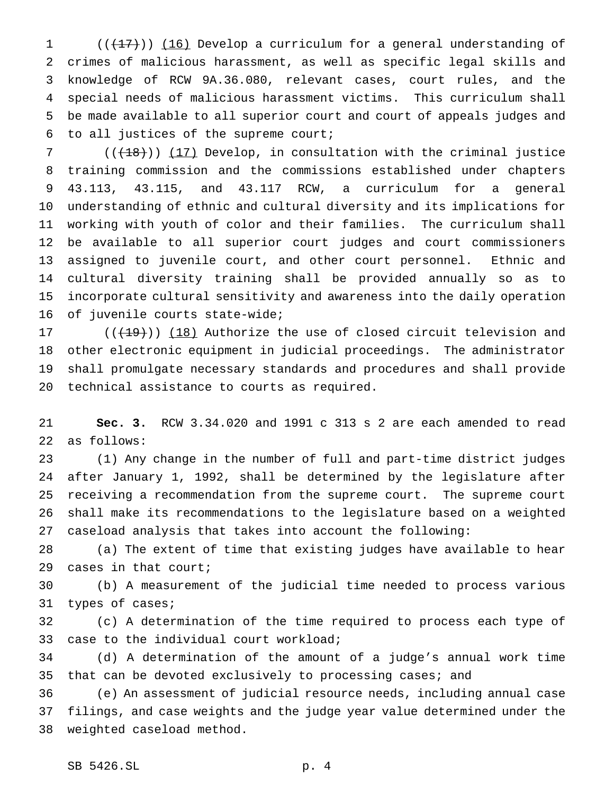1 (( $\left(\frac{17}{17}\right)$ ) (16) Develop a curriculum for a general understanding of crimes of malicious harassment, as well as specific legal skills and knowledge of RCW 9A.36.080, relevant cases, court rules, and the special needs of malicious harassment victims. This curriculum shall be made available to all superior court and court of appeals judges and to all justices of the supreme court;

 $((+18))$   $(17)$  Develop, in consultation with the criminal justice training commission and the commissions established under chapters 43.113, 43.115, and 43.117 RCW, a curriculum for a general understanding of ethnic and cultural diversity and its implications for working with youth of color and their families. The curriculum shall be available to all superior court judges and court commissioners assigned to juvenile court, and other court personnel. Ethnic and cultural diversity training shall be provided annually so as to incorporate cultural sensitivity and awareness into the daily operation of juvenile courts state-wide;

17 ( $(\overline{(19)})$ ) (18) Authorize the use of closed circuit television and other electronic equipment in judicial proceedings. The administrator shall promulgate necessary standards and procedures and shall provide technical assistance to courts as required.

 **Sec. 3.** RCW 3.34.020 and 1991 c 313 s 2 are each amended to read as follows:

 (1) Any change in the number of full and part-time district judges after January 1, 1992, shall be determined by the legislature after receiving a recommendation from the supreme court. The supreme court shall make its recommendations to the legislature based on a weighted caseload analysis that takes into account the following:

 (a) The extent of time that existing judges have available to hear cases in that court;

 (b) A measurement of the judicial time needed to process various types of cases;

 (c) A determination of the time required to process each type of case to the individual court workload;

 (d) A determination of the amount of a judge's annual work time 35 that can be devoted exclusively to processing cases; and

 (e) An assessment of judicial resource needs, including annual case filings, and case weights and the judge year value determined under the weighted caseload method.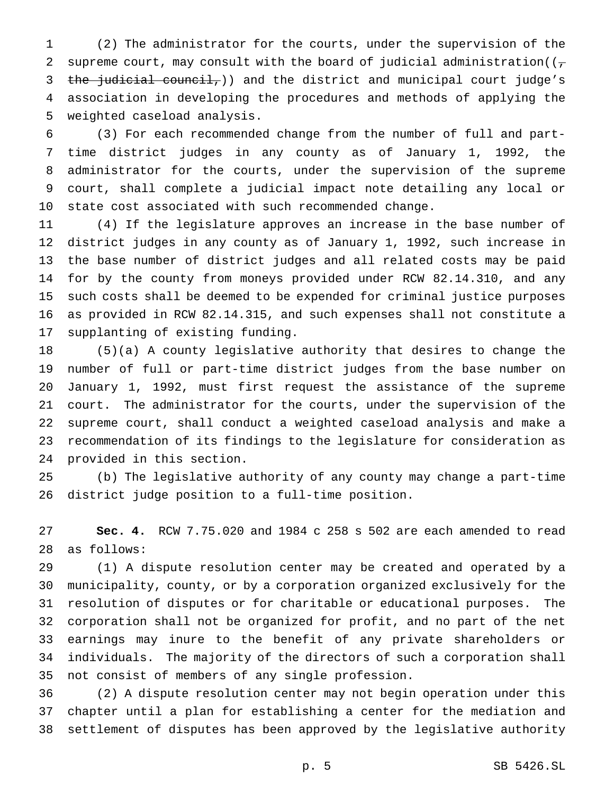(2) The administrator for the courts, under the supervision of the 2 supreme court, may consult with the board of judicial administration( $(\tau$ 3 the judicial council, ) and the district and municipal court judge's association in developing the procedures and methods of applying the weighted caseload analysis.

 (3) For each recommended change from the number of full and part- time district judges in any county as of January 1, 1992, the administrator for the courts, under the supervision of the supreme court, shall complete a judicial impact note detailing any local or state cost associated with such recommended change.

 (4) If the legislature approves an increase in the base number of district judges in any county as of January 1, 1992, such increase in the base number of district judges and all related costs may be paid for by the county from moneys provided under RCW 82.14.310, and any such costs shall be deemed to be expended for criminal justice purposes as provided in RCW 82.14.315, and such expenses shall not constitute a supplanting of existing funding.

 (5)(a) A county legislative authority that desires to change the number of full or part-time district judges from the base number on January 1, 1992, must first request the assistance of the supreme court. The administrator for the courts, under the supervision of the supreme court, shall conduct a weighted caseload analysis and make a recommendation of its findings to the legislature for consideration as provided in this section.

 (b) The legislative authority of any county may change a part-time district judge position to a full-time position.

 **Sec. 4.** RCW 7.75.020 and 1984 c 258 s 502 are each amended to read as follows:

 (1) A dispute resolution center may be created and operated by a municipality, county, or by a corporation organized exclusively for the resolution of disputes or for charitable or educational purposes. The corporation shall not be organized for profit, and no part of the net earnings may inure to the benefit of any private shareholders or individuals. The majority of the directors of such a corporation shall not consist of members of any single profession.

 (2) A dispute resolution center may not begin operation under this chapter until a plan for establishing a center for the mediation and settlement of disputes has been approved by the legislative authority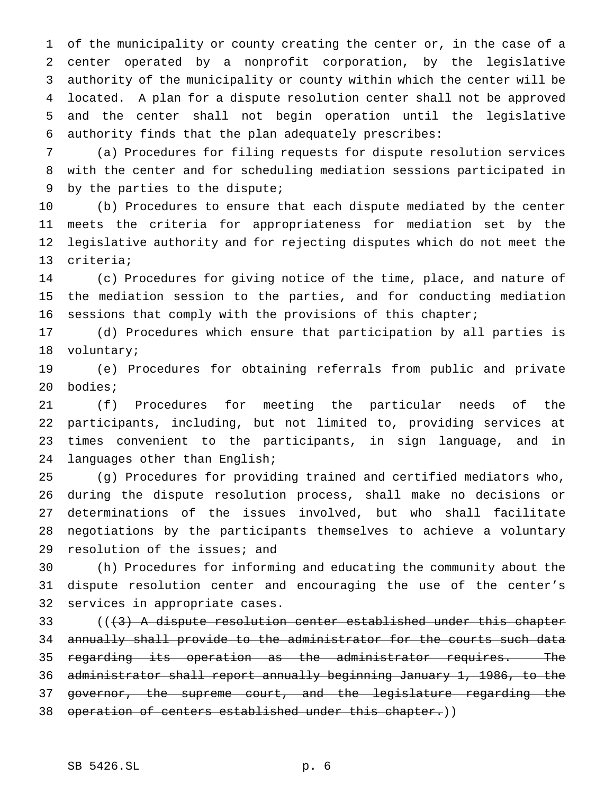of the municipality or county creating the center or, in the case of a center operated by a nonprofit corporation, by the legislative authority of the municipality or county within which the center will be located. A plan for a dispute resolution center shall not be approved and the center shall not begin operation until the legislative authority finds that the plan adequately prescribes:

 (a) Procedures for filing requests for dispute resolution services with the center and for scheduling mediation sessions participated in by the parties to the dispute;

 (b) Procedures to ensure that each dispute mediated by the center meets the criteria for appropriateness for mediation set by the legislative authority and for rejecting disputes which do not meet the criteria;

 (c) Procedures for giving notice of the time, place, and nature of the mediation session to the parties, and for conducting mediation sessions that comply with the provisions of this chapter;

 (d) Procedures which ensure that participation by all parties is voluntary;

 (e) Procedures for obtaining referrals from public and private bodies;

 (f) Procedures for meeting the particular needs of the participants, including, but not limited to, providing services at times convenient to the participants, in sign language, and in languages other than English;

 (g) Procedures for providing trained and certified mediators who, during the dispute resolution process, shall make no decisions or determinations of the issues involved, but who shall facilitate negotiations by the participants themselves to achieve a voluntary resolution of the issues; and

 (h) Procedures for informing and educating the community about the dispute resolution center and encouraging the use of the center's services in appropriate cases.

33 ((<del>(3) A dispute resolution center established under this chapter</del> annually shall provide to the administrator for the courts such data 35 regarding its operation as the administrator requires. The administrator shall report annually beginning January 1, 1986, to the 37 governor, the supreme court, and the legislature regarding the 38 operation of centers established under this chapter.))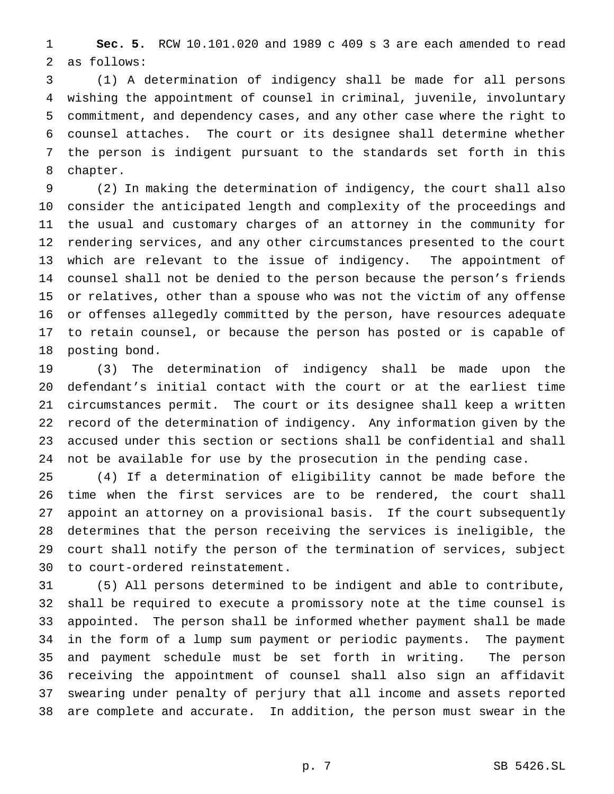**Sec. 5.** RCW 10.101.020 and 1989 c 409 s 3 are each amended to read as follows:

 (1) A determination of indigency shall be made for all persons wishing the appointment of counsel in criminal, juvenile, involuntary commitment, and dependency cases, and any other case where the right to counsel attaches. The court or its designee shall determine whether the person is indigent pursuant to the standards set forth in this chapter.

 (2) In making the determination of indigency, the court shall also consider the anticipated length and complexity of the proceedings and the usual and customary charges of an attorney in the community for rendering services, and any other circumstances presented to the court which are relevant to the issue of indigency. The appointment of counsel shall not be denied to the person because the person's friends or relatives, other than a spouse who was not the victim of any offense or offenses allegedly committed by the person, have resources adequate to retain counsel, or because the person has posted or is capable of posting bond.

 (3) The determination of indigency shall be made upon the defendant's initial contact with the court or at the earliest time circumstances permit. The court or its designee shall keep a written record of the determination of indigency. Any information given by the accused under this section or sections shall be confidential and shall not be available for use by the prosecution in the pending case.

 (4) If a determination of eligibility cannot be made before the time when the first services are to be rendered, the court shall appoint an attorney on a provisional basis. If the court subsequently determines that the person receiving the services is ineligible, the court shall notify the person of the termination of services, subject to court-ordered reinstatement.

 (5) All persons determined to be indigent and able to contribute, shall be required to execute a promissory note at the time counsel is appointed. The person shall be informed whether payment shall be made in the form of a lump sum payment or periodic payments. The payment and payment schedule must be set forth in writing. The person receiving the appointment of counsel shall also sign an affidavit swearing under penalty of perjury that all income and assets reported are complete and accurate. In addition, the person must swear in the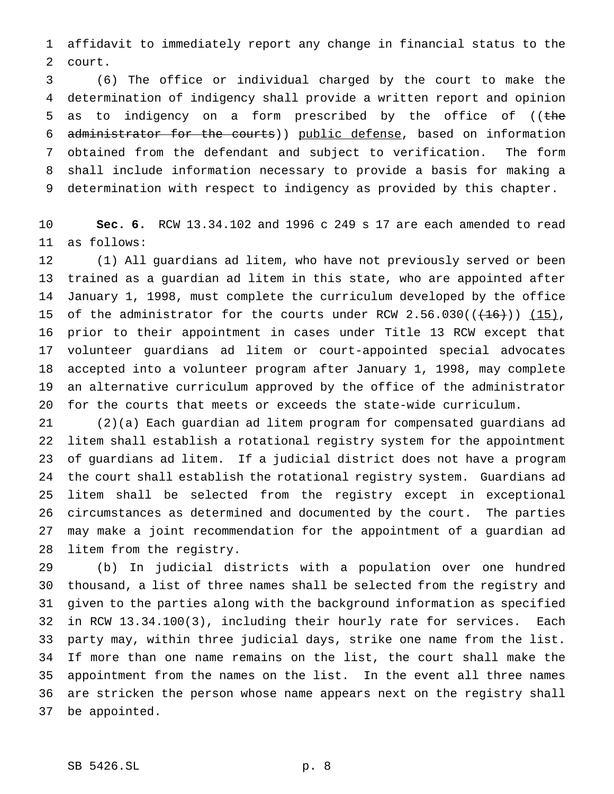affidavit to immediately report any change in financial status to the court.

 (6) The office or individual charged by the court to make the determination of indigency shall provide a written report and opinion 5 as to indigency on a form prescribed by the office of ((the administrator for the courts)) public defense, based on information obtained from the defendant and subject to verification. The form shall include information necessary to provide a basis for making a determination with respect to indigency as provided by this chapter.

 **Sec. 6.** RCW 13.34.102 and 1996 c 249 s 17 are each amended to read as follows:

 (1) All guardians ad litem, who have not previously served or been trained as a guardian ad litem in this state, who are appointed after January 1, 1998, must complete the curriculum developed by the office 15 of the administrator for the courts under RCW  $2.56.030((\left(\frac{16}{1})\right), \left(\frac{15}{1}\right),$  prior to their appointment in cases under Title 13 RCW except that volunteer guardians ad litem or court-appointed special advocates accepted into a volunteer program after January 1, 1998, may complete an alternative curriculum approved by the office of the administrator for the courts that meets or exceeds the state-wide curriculum.

 (2)(a) Each guardian ad litem program for compensated guardians ad litem shall establish a rotational registry system for the appointment of guardians ad litem. If a judicial district does not have a program the court shall establish the rotational registry system. Guardians ad litem shall be selected from the registry except in exceptional circumstances as determined and documented by the court. The parties may make a joint recommendation for the appointment of a guardian ad litem from the registry.

 (b) In judicial districts with a population over one hundred thousand, a list of three names shall be selected from the registry and given to the parties along with the background information as specified in RCW 13.34.100(3), including their hourly rate for services. Each party may, within three judicial days, strike one name from the list. If more than one name remains on the list, the court shall make the appointment from the names on the list. In the event all three names are stricken the person whose name appears next on the registry shall be appointed.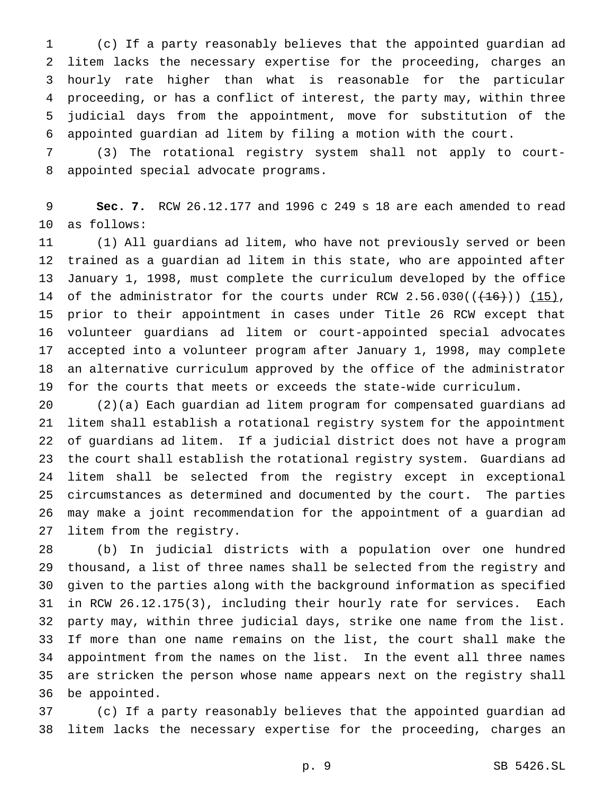(c) If a party reasonably believes that the appointed guardian ad litem lacks the necessary expertise for the proceeding, charges an hourly rate higher than what is reasonable for the particular proceeding, or has a conflict of interest, the party may, within three judicial days from the appointment, move for substitution of the appointed guardian ad litem by filing a motion with the court.

 (3) The rotational registry system shall not apply to court-appointed special advocate programs.

 **Sec. 7.** RCW 26.12.177 and 1996 c 249 s 18 are each amended to read as follows:

 (1) All guardians ad litem, who have not previously served or been trained as a guardian ad litem in this state, who are appointed after January 1, 1998, must complete the curriculum developed by the office 14 of the administrator for the courts under RCW  $2.56.030((+16))$   $(15)$ , prior to their appointment in cases under Title 26 RCW except that volunteer guardians ad litem or court-appointed special advocates accepted into a volunteer program after January 1, 1998, may complete an alternative curriculum approved by the office of the administrator for the courts that meets or exceeds the state-wide curriculum.

 (2)(a) Each guardian ad litem program for compensated guardians ad litem shall establish a rotational registry system for the appointment of guardians ad litem. If a judicial district does not have a program the court shall establish the rotational registry system. Guardians ad litem shall be selected from the registry except in exceptional circumstances as determined and documented by the court. The parties may make a joint recommendation for the appointment of a guardian ad litem from the registry.

 (b) In judicial districts with a population over one hundred thousand, a list of three names shall be selected from the registry and given to the parties along with the background information as specified in RCW 26.12.175(3), including their hourly rate for services. Each party may, within three judicial days, strike one name from the list. If more than one name remains on the list, the court shall make the appointment from the names on the list. In the event all three names are stricken the person whose name appears next on the registry shall be appointed.

 (c) If a party reasonably believes that the appointed guardian ad litem lacks the necessary expertise for the proceeding, charges an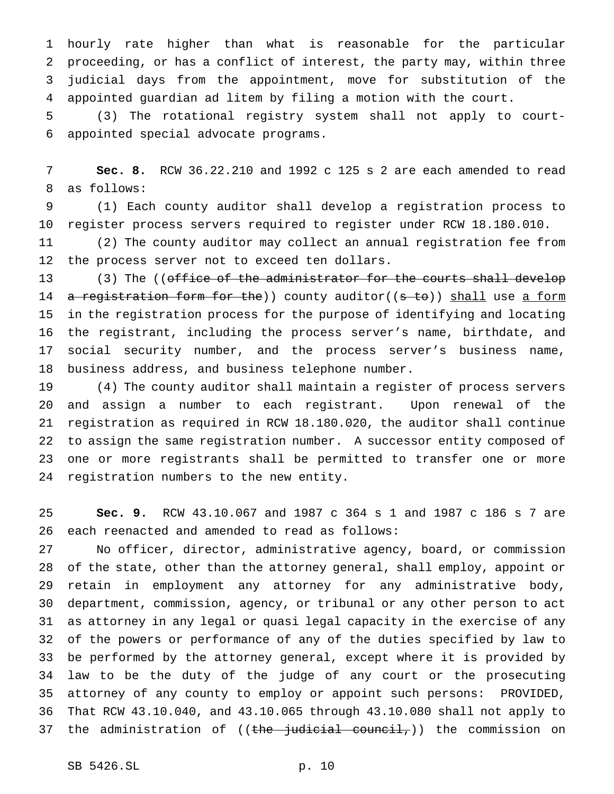hourly rate higher than what is reasonable for the particular proceeding, or has a conflict of interest, the party may, within three judicial days from the appointment, move for substitution of the appointed guardian ad litem by filing a motion with the court.

 (3) The rotational registry system shall not apply to court-appointed special advocate programs.

 **Sec. 8.** RCW 36.22.210 and 1992 c 125 s 2 are each amended to read as follows:

 (1) Each county auditor shall develop a registration process to register process servers required to register under RCW 18.180.010.

 (2) The county auditor may collect an annual registration fee from the process server not to exceed ten dollars.

13 (3) The ((office of the administrator for the courts shall develop 14 a registration form for the)) county auditor((s to)) shall use a form in the registration process for the purpose of identifying and locating the registrant, including the process server's name, birthdate, and social security number, and the process server's business name, business address, and business telephone number.

 (4) The county auditor shall maintain a register of process servers and assign a number to each registrant. Upon renewal of the registration as required in RCW 18.180.020, the auditor shall continue to assign the same registration number. A successor entity composed of one or more registrants shall be permitted to transfer one or more registration numbers to the new entity.

 **Sec. 9.** RCW 43.10.067 and 1987 c 364 s 1 and 1987 c 186 s 7 are each reenacted and amended to read as follows:

 No officer, director, administrative agency, board, or commission of the state, other than the attorney general, shall employ, appoint or retain in employment any attorney for any administrative body, department, commission, agency, or tribunal or any other person to act as attorney in any legal or quasi legal capacity in the exercise of any of the powers or performance of any of the duties specified by law to be performed by the attorney general, except where it is provided by law to be the duty of the judge of any court or the prosecuting attorney of any county to employ or appoint such persons: PROVIDED, That RCW 43.10.040, and 43.10.065 through 43.10.080 shall not apply to 37 the administration of  $((the *judicial* count,))$  the commission on